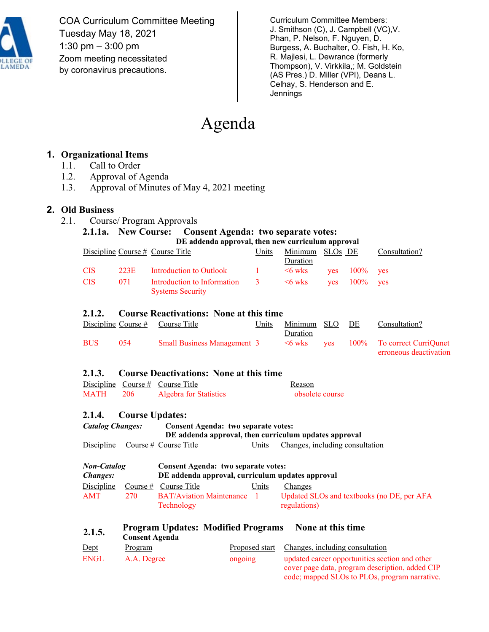

COA Curriculum Committee Meeting Tuesday May 18, 2021 1:30 pm – 3:00 pm Zoom meeting necessitated by coronavirus precautions.

Curriculum Committee Members: J. Smithson (C), J. Campbell (VC),V. Phan, P. Nelson, F. Nguyen, D. Burgess, A. Buchalter, O. Fish, H. Ko, R. Majlesi, L. Dewrance (formerly Thompson), V. Virkkila,; M. Goldstein (AS Pres.) D. Miller (VPI), Deans L. Celhay, S. Henderson and E. **Jennings** 

# Agenda

## **1. Organizational Items**

- 1.1. Call to Order
- 1.2. Approval of Agenda
- 1.3. Approval of Minutes of May 4, 2021 meeting

#### **2. Old Business**

2.1. Course/ Program Approvals

## **2.1.1a. New Course:** Consent Agenda: two separate votes:

|            | DE addenda approval, then new curriculum approval |                                                          |                     |                             |  |                   |               |  |
|------------|---------------------------------------------------|----------------------------------------------------------|---------------------|-----------------------------|--|-------------------|---------------|--|
|            |                                                   | Discipline Course $#$ Course Title                       | Units               | Minimum SLOs DE<br>Duration |  |                   | Consultation? |  |
| <b>CIS</b> | 223E                                              | Introduction to Outlook                                  | $\sim 1$ and $\sim$ | $\leq 6$ wks                |  | $ves$ 100% ves    |               |  |
| <b>CIS</b> | 071                                               | Introduction to Information 3<br><b>Systems Security</b> |                     | $\leq$ 6 wks                |  | $ves$ $100\%$ ves |               |  |

#### **2.1.2. Course Reactivations: None at this time**

|            |     | Discipline Course $#$ Course Title | Units | Minimum SLO DE |  | Consultation?                                  |
|------------|-----|------------------------------------|-------|----------------|--|------------------------------------------------|
|            |     |                                    |       | Duration       |  |                                                |
| <b>BUS</b> | 054 | <b>Small Business Management 3</b> |       |                |  | $\leq 6$ wks yes $100\%$ To correct Curriquest |
|            |     |                                    |       |                |  | erroneous deactivation                         |

#### **2.1.3. Course Deactivations: None at this time**

|                 | Discipline Course $#$ Course Title | Reason          |
|-----------------|------------------------------------|-----------------|
| <b>MATH</b> 206 | Algebra for Statistics             | obsolete course |

#### **2.1.4. Course Updates:**

| <b>Catalog Changes:</b> |                                    | <b>Consent Agenda: two separate votes:</b><br>DE addenda approval, then curriculum updates approval |       |  |                                 |  |  |
|-------------------------|------------------------------------|-----------------------------------------------------------------------------------------------------|-------|--|---------------------------------|--|--|
|                         |                                    |                                                                                                     |       |  |                                 |  |  |
|                         | $Discibline$ Course # Course Title |                                                                                                     | Units |  | Changes, including consultation |  |  |

| <b>Non-Catalog</b><br><i>Changes:</i> |     | <b>Consent Agenda: two separate votes:</b><br>DE addenda approval, curriculum updates approval |       |                                                            |  |
|---------------------------------------|-----|------------------------------------------------------------------------------------------------|-------|------------------------------------------------------------|--|
| Discipline                            |     | Course $#$ Course Title                                                                        | Units | Changes                                                    |  |
| <b>AMT</b>                            | 270 | <b>BAT/Aviation Maintenance</b><br>Technology                                                  |       | Updated SLOs and textbooks (no DE, per AFA<br>regulations) |  |

## **2.1.5. Program Updates: Modified Programs None at this time**

| ------      | <b>Consent Agenda</b> |         |                                                                                                                                                    |
|-------------|-----------------------|---------|----------------------------------------------------------------------------------------------------------------------------------------------------|
| Dept        | Program               |         | Proposed start Changes, including consultation                                                                                                     |
| <b>ENGL</b> | A.A. Degree           | ongoing | updated career opportunities section and other<br>cover page data, program description, added CIP<br>code; mapped SLOs to PLOs, program narrative. |